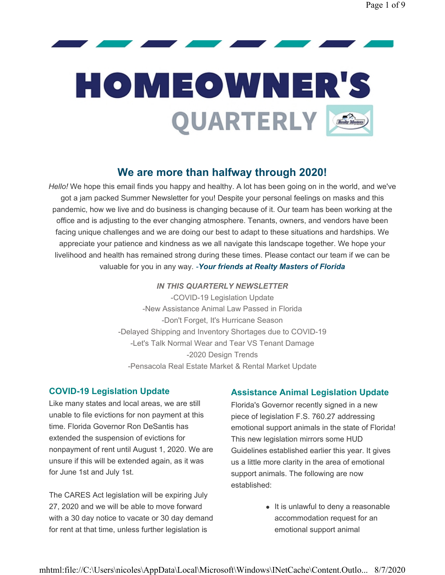# **HOMEOWNER'S** QUARTERLY

#### We are more than halfway through 2020!

Hello! We hope this email finds you happy and healthy. A lot has been going on in the world, and we've got a jam packed Summer Newsletter for you! Despite your personal feelings on masks and this pandemic, how we live and do business is changing because of it. Our team has been working at the office and is adjusting to the ever changing atmosphere. Tenants, owners, and vendors have been facing unique challenges and we are doing our best to adapt to these situations and hardships. We appreciate your patience and kindness as we all navigate this landscape together. We hope your livelihood and health has remained strong during these times. Please contact our team if we can be valuable for you in any way. - Your friends at Realty Masters of Florida

#### IN THIS QUARTERLY NEWSLETTER

-COVID-19 Legislation Update -New Assistance Animal Law Passed in Florida -Don't Forget, It's Hurricane Season -Delayed Shipping and Inventory Shortages due to COVID-19 -Let's Talk Normal Wear and Tear VS Tenant Damage -2020 Design Trends -Pensacola Real Estate Market & Rental Market Update

#### COVID-19 Legislation Update

Like many states and local areas, we are still unable to file evictions for non payment at this time. Florida Governor Ron DeSantis has extended the suspension of evictions for nonpayment of rent until August 1, 2020. We are unsure if this will be extended again, as it was for June 1st and July 1st.

The CARES Act legislation will be expiring July 27, 2020 and we will be able to move forward with a 30 day notice to vacate or 30 day demand for rent at that time, unless further legislation is

#### Assistance Animal Legislation Update

Florida's Governor recently signed in a new piece of legislation F.S. 760.27 addressing emotional support animals in the state of Florida! This new legislation mirrors some HUD Guidelines established earlier this year. It gives us a little more clarity in the area of emotional support animals. The following are now established:

> $\bullet$  It is unlawful to deny a reasonable accommodation request for an emotional support animal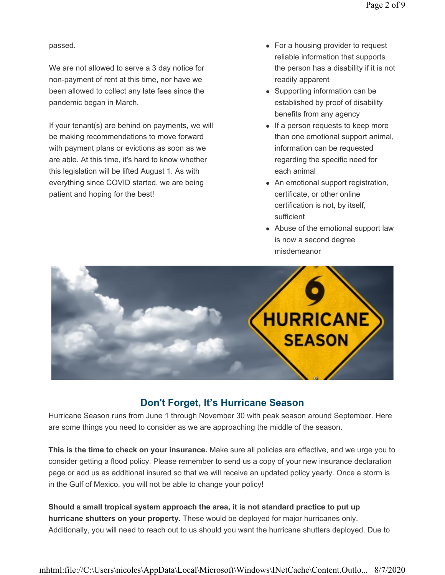passed.

We are not allowed to serve a 3 day notice for non-payment of rent at this time, nor have we been allowed to collect any late fees since the pandemic began in March.

If your tenant(s) are behind on payments, we will be making recommendations to move forward with payment plans or evictions as soon as we are able. At this time, it's hard to know whether this legislation will be lifted August 1. As with everything since COVID started, we are being patient and hoping for the best!

- $\bullet$  For a housing provider to request reliable information that supports the person has a disability if it is not readily apparent
- Supporting information can be established by proof of disability benefits from any agency
- $\bullet$  If a person requests to keep more than one emotional support animal, information can be requested regarding the specific need for each animal
- An emotional support registration, certificate, or other online certification is not, by itself, sufficient
- Abuse of the emotional support law is now a second degree misdemeanor



#### Don't Forget, It's Hurricane Season

Hurricane Season runs from June 1 through November 30 with peak season around September. Here are some things you need to consider as we are approaching the middle of the season.

This is the time to check on your insurance. Make sure all policies are effective, and we urge you to consider getting a flood policy. Please remember to send us a copy of your new insurance declaration page or add us as additional insured so that we will receive an updated policy yearly. Once a storm is in the Gulf of Mexico, you will not be able to change your policy!

Should a small tropical system approach the area, it is not standard practice to put up hurricane shutters on your property. These would be deployed for major hurricanes only. Additionally, you will need to reach out to us should you want the hurricane shutters deployed. Due to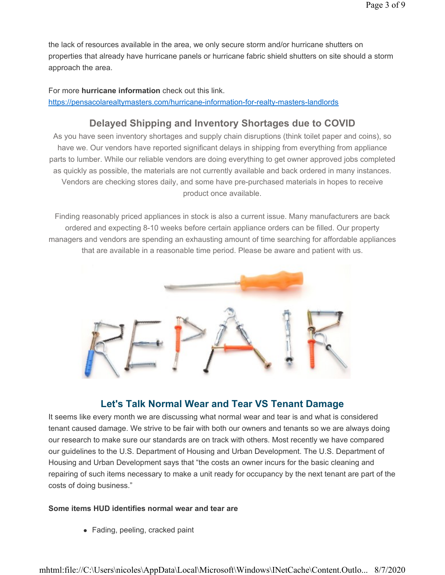the lack of resources available in the area, we only secure storm and/or hurricane shutters on properties that already have hurricane panels or hurricane fabric shield shutters on site should a storm approach the area.

For more hurricane information check out this link. https://pensacolarealtymasters.com/hurricane-information-for-realty-masters-landlords

### Delayed Shipping and Inventory Shortages due to COVID

As you have seen inventory shortages and supply chain disruptions (think toilet paper and coins), so have we. Our vendors have reported significant delays in shipping from everything from appliance parts to lumber. While our reliable vendors are doing everything to get owner approved jobs completed as quickly as possible, the materials are not currently available and back ordered in many instances. Vendors are checking stores daily, and some have pre-purchased materials in hopes to receive product once available.

Finding reasonably priced appliances in stock is also a current issue. Many manufacturers are back ordered and expecting 8-10 weeks before certain appliance orders can be filled. Our property managers and vendors are spending an exhausting amount of time searching for affordable appliances that are available in a reasonable time period. Please be aware and patient with us.



#### Let's Talk Normal Wear and Tear VS Tenant Damage

It seems like every month we are discussing what normal wear and tear is and what is considered tenant caused damage. We strive to be fair with both our owners and tenants so we are always doing our research to make sure our standards are on track with others. Most recently we have compared our guidelines to the U.S. Department of Housing and Urban Development. The U.S. Department of Housing and Urban Development says that "the costs an owner incurs for the basic cleaning and repairing of such items necessary to make a unit ready for occupancy by the next tenant are part of the costs of doing business."

#### Some items HUD identifies normal wear and tear are

• Fading, peeling, cracked paint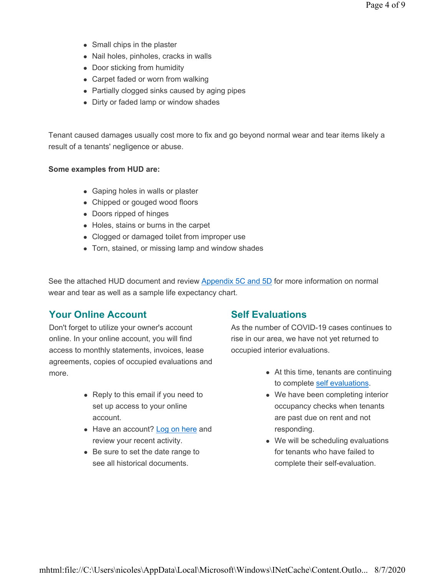- $\bullet$  Small chips in the plaster
- Nail holes, pinholes, cracks in walls
- Door sticking from humidity
- Carpet faded or worn from walking
- Partially clogged sinks caused by aging pipes
- Dirty or faded lamp or window shades

Tenant caused damages usually cost more to fix and go beyond normal wear and tear items likely a result of a tenants' negligence or abuse.

#### Some examples from HUD are:

- Gaping holes in walls or plaster
- Chipped or gouged wood floors
- Doors ripped of hinges
- Holes, stains or burns in the carpet
- Clogged or damaged toilet from improper use
- Torn, stained, or missing lamp and window shades

See the attached HUD document and review Appendix 5C and 5D for more information on normal wear and tear as well as a sample life expectancy chart.

#### Your Online Account

Don't forget to utilize your owner's account online. In your online account, you will find access to monthly statements, invoices, lease agreements, copies of occupied evaluations and more.

- Reply to this email if you need to set up access to your online account.
- Have an account? Log on here and review your recent activity.
- $\bullet$  Be sure to set the date range to see all historical documents.

#### Self Evaluations

As the number of COVID-19 cases continues to rise in our area, we have not yet returned to occupied interior evaluations.

- $\bullet$  At this time, tenants are continuing to complete self evaluations.
- We have been completing interior occupancy checks when tenants are past due on rent and not responding.
- $\bullet$  We will be scheduling evaluations for tenants who have failed to complete their self-evaluation.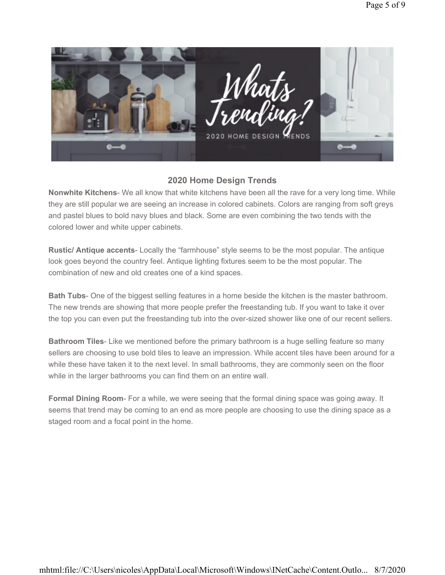

#### 2020 Home Design Trends

Nonwhite Kitchens- We all know that white kitchens have been all the rave for a very long time. While they are still popular we are seeing an increase in colored cabinets. Colors are ranging from soft greys and pastel blues to bold navy blues and black. Some are even combining the two tends with the colored lower and white upper cabinets.

Rustic/ Antique accents- Locally the "farmhouse" style seems to be the most popular. The antique look goes beyond the country feel. Antique lighting fixtures seem to be the most popular. The combination of new and old creates one of a kind spaces.

Bath Tubs- One of the biggest selling features in a home beside the kitchen is the master bathroom. The new trends are showing that more people prefer the freestanding tub. If you want to take it over the top you can even put the freestanding tub into the over-sized shower like one of our recent sellers.

**Bathroom Tiles-** Like we mentioned before the primary bathroom is a huge selling feature so many sellers are choosing to use bold tiles to leave an impression. While accent tiles have been around for a while these have taken it to the next level. In small bathrooms, they are commonly seen on the floor while in the larger bathrooms you can find them on an entire wall.

Formal Dining Room- For a while, we were seeing that the formal dining space was going away. It seems that trend may be coming to an end as more people are choosing to use the dining space as a staged room and a focal point in the home.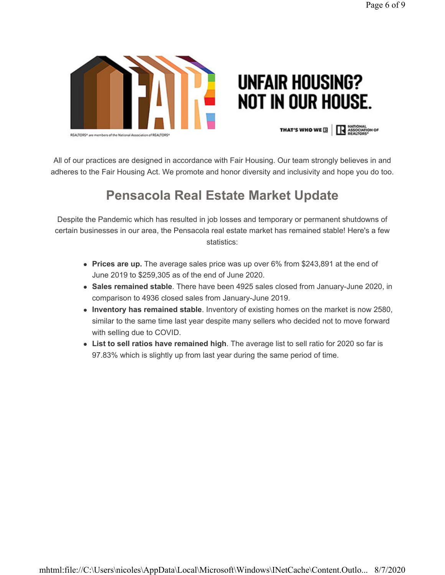

## **UNFAIR HOUSING? NOT IN OUR HOUSE.**

**THAT'S WHO WE HIGH ASSOCIATION OF** 

All of our practices are designed in accordance with Fair Housing. Our team strongly believes in and adheres to the Fair Housing Act. We promote and honor diversity and inclusivity and hope you do too.

## Pensacola Real Estate Market Update

Despite the Pandemic which has resulted in job losses and temporary or permanent shutdowns of certain businesses in our area, the Pensacola real estate market has remained stable! Here's a few statistics:

- Prices are up. The average sales price was up over 6% from \$243,891 at the end of June 2019 to \$259,305 as of the end of June 2020.
- Sales remained stable. There have been 4925 sales closed from January-June 2020, in comparison to 4936 closed sales from January-June 2019.
- Inventory has remained stable. Inventory of existing homes on the market is now 2580, similar to the same time last year despite many sellers who decided not to move forward with selling due to COVID.
- List to sell ratios have remained high. The average list to sell ratio for 2020 so far is 97.83% which is slightly up from last year during the same period of time.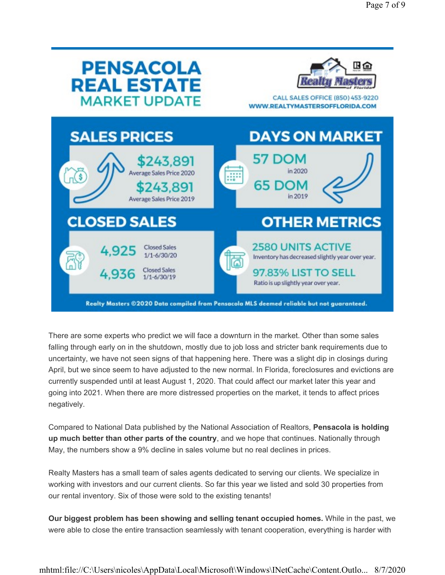| <b>PENSACOLA</b>                                                                                                               | ∄≙                                                                                                                                                                                                                                                               |
|--------------------------------------------------------------------------------------------------------------------------------|------------------------------------------------------------------------------------------------------------------------------------------------------------------------------------------------------------------------------------------------------------------|
| <b>REAL ESTATE</b>                                                                                                             | CALL SALES OFFICE (850) 453-9220                                                                                                                                                                                                                                 |
| <b>MARKET UPDATE</b>                                                                                                           | WWW.REALTYMASTERSOFFLORIDA.COM                                                                                                                                                                                                                                   |
| <b>SALES PRICES</b>                                                                                                            | <b>DAYS ON MARKET</b>                                                                                                                                                                                                                                            |
| \$243,891                                                                                                                      | 57 DOM                                                                                                                                                                                                                                                           |
| Average Sales Price 2020                                                                                                       | in 2020                                                                                                                                                                                                                                                          |
| $\sqrt{s}$                                                                                                                     | e                                                                                                                                                                                                                                                                |
| \$243,891                                                                                                                      | 65 DOM                                                                                                                                                                                                                                                           |
| Average Sales Price 2019                                                                                                       | in 2019                                                                                                                                                                                                                                                          |
| <b>CLOSED SALES</b><br><b>Closed Sales</b><br>4.925<br>$1/1 - 6/30/20$<br>邵<br><b>Closed Sales</b><br>4.936<br>$1/1 - 6/30/19$ | <b>OTHER METRICS</b><br><b>2580 UNITS ACTIVE</b><br>Inventory has decreased slightly year over year.<br>97.83% LIST TO SELL<br>Ratio is up slightly year over year.<br>Realty Masters ©2020 Data compiled from Pensacola MLS deemed reliable but not guaranteed. |

There are some experts who predict we will face a downturn in the market. Other than some sales falling through early on in the shutdown, mostly due to job loss and stricter bank requirements due to uncertainty, we have not seen signs of that happening here. There was a slight dip in closings during April, but we since seem to have adjusted to the new normal. In Florida, foreclosures and evictions are currently suspended until at least August 1, 2020. That could affect our market later this year and going into 2021. When there are more distressed properties on the market, it tends to affect prices negatively.

Compared to National Data published by the National Association of Realtors, Pensacola is holding up much better than other parts of the country, and we hope that continues. Nationally through May, the numbers show a 9% decline in sales volume but no real declines in prices.

Realty Masters has a small team of sales agents dedicated to serving our clients. We specialize in working with investors and our current clients. So far this year we listed and sold 30 properties from our rental inventory. Six of those were sold to the existing tenants!

Our biggest problem has been showing and selling tenant occupied homes. While in the past, we were able to close the entire transaction seamlessly with tenant cooperation, everything is harder with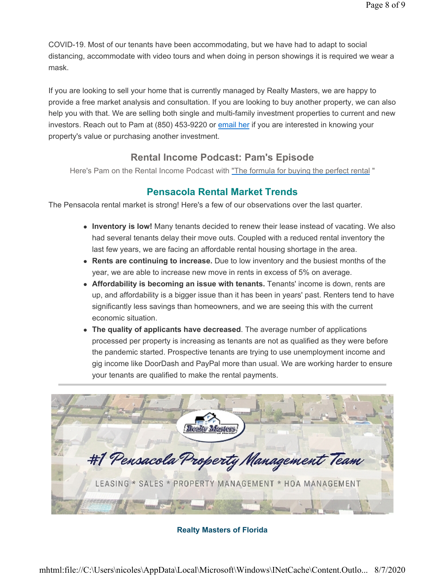COVID-19. Most of our tenants have been accommodating, but we have had to adapt to social distancing, accommodate with video tours and when doing in person showings it is required we wear a mask.

If you are looking to sell your home that is currently managed by Realty Masters, we are happy to provide a free market analysis and consultation. If you are looking to buy another property, we can also help you with that. We are selling both single and multi-family investment properties to current and new investors. Reach out to Pam at (850) 453-9220 or email her if you are interested in knowing your property's value or purchasing another investment.

#### Rental Income Podcast: Pam's Episode

Here's Pam on the Rental Income Podcast with "The formula for buying the perfect rental "

#### Pensacola Rental Market Trends

The Pensacola rental market is strong! Here's a few of our observations over the last quarter.

- Inventory is low! Many tenants decided to renew their lease instead of vacating. We also had several tenants delay their move outs. Coupled with a reduced rental inventory the last few years, we are facing an affordable rental housing shortage in the area.
- Rents are continuing to increase. Due to low inventory and the busiest months of the year, we are able to increase new move in rents in excess of 5% on average.
- Affordability is becoming an issue with tenants. Tenants' income is down, rents are up, and affordability is a bigger issue than it has been in years' past. Renters tend to have significantly less savings than homeowners, and we are seeing this with the current economic situation.
- The quality of applicants have decreased. The average number of applications processed per property is increasing as tenants are not as qualified as they were before the pandemic started. Prospective tenants are trying to use unemployment income and gig income like DoorDash and PayPal more than usual. We are working harder to ensure your tenants are qualified to make the rental payments.



#### Realty Masters of Florida